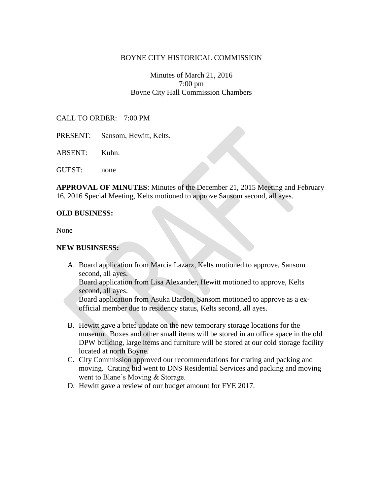## BOYNE CITY HISTORICAL COMMISSION

# Minutes of March 21, 2016 7:00 pm Boyne City Hall Commission Chambers

### CALL TO ORDER: 7:00 PM

- PRESENT: Sansom, Hewitt, Kelts.
- ABSENT: Kuhn.

GUEST: none

**APPROVAL OF MINUTES**: Minutes of the December 21, 2015 Meeting and February 16, 2016 Special Meeting, Kelts motioned to approve Sansom second, all ayes.

#### **OLD BUSINESS:**

None

#### **NEW BUSINSESS:**

A. Board application from Marcia Lazarz, Kelts motioned to approve, Sansom second, all ayes.

Board application from Lisa Alexander, Hewitt motioned to approve, Kelts second, all ayes.

Board application from Asuka Barden, Sansom motioned to approve as a exofficial member due to residency status, Kelts second, all ayes.

- B. Hewitt gave a brief update on the new temporary storage locations for the museum. Boxes and other small items will be stored in an office space in the old DPW building, large items and furniture will be stored at our cold storage facility located at north Boyne.
- C. City Commission approved our recommendations for crating and packing and moving. Crating bid went to DNS Residential Services and packing and moving went to Blane's Moving & Storage.
- D. Hewitt gave a review of our budget amount for FYE 2017.